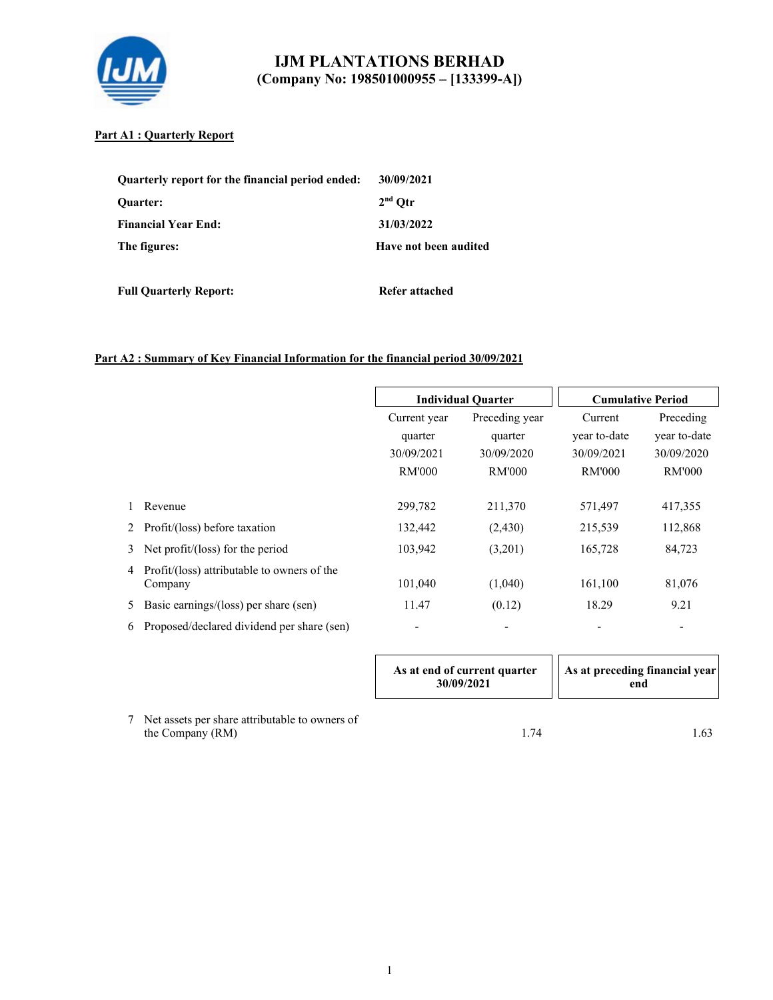

## **Part A1 : Quarterly Report**

| Quarterly report for the financial period ended: | 30/09/2021            |
|--------------------------------------------------|-----------------------|
| <b>Ouarter:</b>                                  | $2nd$ Otr             |
| <b>Financial Year End:</b>                       | 31/03/2022            |
| The figures:                                     | Have not been audited |

**Full Quarterly Report:** Refer attached

## **Part A2 : Summary of Key Financial Information for the financial period 30/09/2021**

|   |                                                        |               | <b>Individual Quarter</b> | <b>Cumulative Period</b> |               |
|---|--------------------------------------------------------|---------------|---------------------------|--------------------------|---------------|
|   |                                                        | Current year  | Preceding year            | Current                  | Preceding     |
|   |                                                        | quarter       | quarter                   | year to-date             | year to-date  |
|   |                                                        | 30/09/2021    | 30/09/2020                | 30/09/2021               | 30/09/2020    |
|   |                                                        | <b>RM'000</b> | <b>RM'000</b>             | <b>RM'000</b>            | <b>RM'000</b> |
|   | Revenue                                                | 299,782       | 211,370                   | 571,497                  | 417,355       |
| 2 | Profit/(loss) before taxation                          | 132,442       | (2,430)                   | 215,539                  | 112,868       |
| 3 | Net profit/(loss) for the period                       | 103,942       | (3,201)                   | 165,728                  | 84,723        |
| 4 | Profit/(loss) attributable to owners of the<br>Company | 101,040       | (1,040)                   | 161,100                  | 81,076        |
| 5 | Basic earnings/(loss) per share (sen)                  | 11.47         | (0.12)                    | 18.29                    | 9.21          |
| 6 | Proposed/declared dividend per share (sen)             | -             |                           |                          |               |

|                                                                    | As at end of current quarter<br>30/09/2021 | As at preceding financial year<br>end |
|--------------------------------------------------------------------|--------------------------------------------|---------------------------------------|
| Net assets per share attributable to owners of<br>the Company (RM) | 1.74                                       |                                       |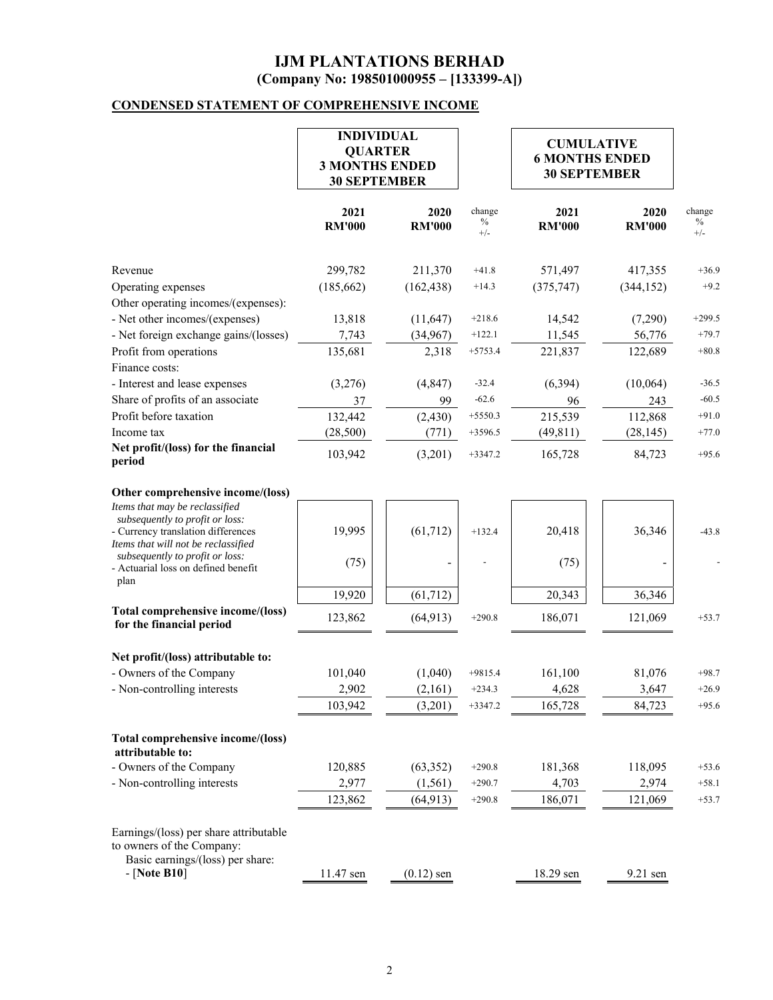## **CONDENSED STATEMENT OF COMPREHENSIVE INCOME**

|                                                                                                              | <b>INDIVIDUAL</b><br><b>QUARTER</b><br><b>3 MONTHS ENDED</b><br><b>30 SEPTEMBER</b> |                       |                         |                       |                       |                         | <b>CUMULATIVE</b><br><b>6 MONTHS ENDED</b><br><b>30 SEPTEMBER</b> |  |
|--------------------------------------------------------------------------------------------------------------|-------------------------------------------------------------------------------------|-----------------------|-------------------------|-----------------------|-----------------------|-------------------------|-------------------------------------------------------------------|--|
|                                                                                                              | 2021<br><b>RM'000</b>                                                               | 2020<br><b>RM'000</b> | change<br>$\%$<br>$+/-$ | 2021<br><b>RM'000</b> | 2020<br><b>RM'000</b> | change<br>$\%$<br>$+/-$ |                                                                   |  |
| Revenue                                                                                                      | 299,782                                                                             | 211,370               | $+41.8$                 | 571,497               | 417,355               | $+36.9$                 |                                                                   |  |
| Operating expenses                                                                                           | (185, 662)                                                                          | (162, 438)            | $+14.3$                 | (375, 747)            | (344, 152)            | $+9.2$                  |                                                                   |  |
| Other operating incomes/(expenses):                                                                          |                                                                                     |                       |                         |                       |                       |                         |                                                                   |  |
| - Net other incomes/(expenses)                                                                               | 13,818                                                                              | (11, 647)             | $+218.6$                | 14,542                | (7,290)               | $+299.5$                |                                                                   |  |
| - Net foreign exchange gains/(losses)                                                                        | 7,743                                                                               | (34, 967)             | $+122.1$                | 11,545                | 56,776                | $+79.7$                 |                                                                   |  |
| Profit from operations                                                                                       | 135,681                                                                             | 2,318                 | $+5753.4$               | 221,837               | 122,689               | $+80.8$                 |                                                                   |  |
| Finance costs:                                                                                               |                                                                                     |                       |                         |                       |                       |                         |                                                                   |  |
| - Interest and lease expenses                                                                                | (3,276)                                                                             | (4, 847)              | $-32.4$                 | (6, 394)              | (10,064)              | $-36.5$                 |                                                                   |  |
| Share of profits of an associate                                                                             | 37                                                                                  | 99                    | $-62.6$                 | 96                    | 243                   | $-60.5$                 |                                                                   |  |
| Profit before taxation                                                                                       | 132,442                                                                             | (2, 430)              | $+5550.3$               | 215,539               | 112,868               | $+91.0$                 |                                                                   |  |
| Income tax                                                                                                   | (28,500)                                                                            | (771)                 | $+3596.5$               | (49, 811)             | (28, 145)             | $+77.0$                 |                                                                   |  |
| Net profit/(loss) for the financial<br>period                                                                | 103,942                                                                             | (3,201)               | $+3347.2$               | 165,728               | 84,723                | $+95.6$                 |                                                                   |  |
| Other comprehensive income/(loss)<br>Items that may be reclassified                                          |                                                                                     |                       |                         |                       |                       |                         |                                                                   |  |
| subsequently to profit or loss:<br>- Currency translation differences<br>Items that will not be reclassified | 19,995                                                                              | (61, 712)             | $+132.4$                | 20,418                | 36,346                | $-43.8$                 |                                                                   |  |
| subsequently to profit or loss:<br>- Actuarial loss on defined benefit<br>plan                               | (75)                                                                                |                       |                         | (75)                  |                       |                         |                                                                   |  |
|                                                                                                              | 19,920                                                                              | (61, 712)             |                         | 20,343                | 36,346                |                         |                                                                   |  |
| Total comprehensive income/(loss)<br>for the financial period                                                | 123,862                                                                             | (64, 913)             | $+290.8$                | 186,071               | 121,069               | $+53.7$                 |                                                                   |  |
| Net profit/(loss) attributable to:                                                                           |                                                                                     |                       |                         |                       |                       |                         |                                                                   |  |
| - Owners of the Company                                                                                      | 101,040                                                                             | (1,040)               | $+9815.4$               | 161,100               | 81,076                | $+98.7$                 |                                                                   |  |
| Non-controlling interests                                                                                    | 2,902                                                                               | (2,161)               | $+234.3$                | 4,628                 | 3,647                 | $+26.9$                 |                                                                   |  |
|                                                                                                              | 103,942                                                                             | (3,201)               | $+3347.2$               | 165,728               | 84,723                | $+95.6$                 |                                                                   |  |
| Total comprehensive income/(loss)<br>attributable to:                                                        |                                                                                     |                       |                         |                       |                       |                         |                                                                   |  |
| - Owners of the Company                                                                                      | 120,885                                                                             | (63, 352)             | $+290.8$                | 181,368               | 118,095               | $+53.6$                 |                                                                   |  |
| - Non-controlling interests                                                                                  | 2,977                                                                               | (1, 561)              | $+290.7$                | 4,703                 | 2,974                 | $+58.1$                 |                                                                   |  |
|                                                                                                              | 123,862                                                                             | (64, 913)             | $+290.8$                | 186,071               | 121,069               | $+53.7$                 |                                                                   |  |
| Earnings/(loss) per share attributable<br>to owners of the Company:<br>Basic earnings/(loss) per share:      |                                                                                     |                       |                         |                       |                       |                         |                                                                   |  |
| $-$ [Note B10]                                                                                               | 11.47 sen                                                                           | $(0.12)$ sen          |                         | 18.29 sen             | 9.21 sen              |                         |                                                                   |  |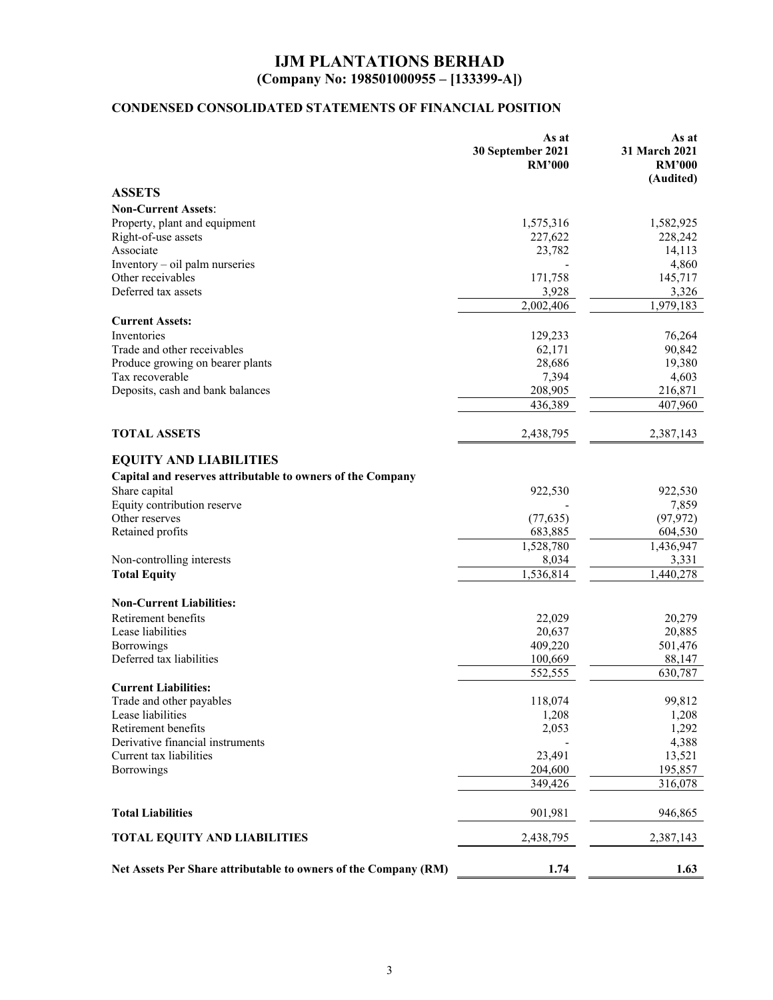# **CONDENSED CONSOLIDATED STATEMENTS OF FINANCIAL POSITION**

|                                                                 | As at<br>30 September 2021<br><b>RM'000</b> | As at<br>31 March 2021<br><b>RM'000</b><br>(Audited) |
|-----------------------------------------------------------------|---------------------------------------------|------------------------------------------------------|
| <b>ASSETS</b>                                                   |                                             |                                                      |
| <b>Non-Current Assets:</b>                                      |                                             |                                                      |
| Property, plant and equipment                                   | 1,575,316                                   | 1,582,925                                            |
| Right-of-use assets                                             | 227,622                                     | 228,242                                              |
| Associate                                                       | 23,782                                      | 14,113                                               |
| Inventory - oil palm nurseries                                  |                                             | 4,860                                                |
| Other receivables                                               | 171,758                                     | 145,717                                              |
| Deferred tax assets                                             | 3,928                                       | 3,326                                                |
|                                                                 | 2,002,406                                   | $\overline{1,}979,183$                               |
| <b>Current Assets:</b>                                          |                                             |                                                      |
| Inventories                                                     | 129,233                                     | 76,264                                               |
| Trade and other receivables                                     | 62,171                                      | 90,842                                               |
| Produce growing on bearer plants                                | 28,686                                      | 19,380                                               |
| Tax recoverable                                                 | 7,394                                       | 4,603                                                |
| Deposits, cash and bank balances                                | 208,905                                     | 216,871                                              |
|                                                                 | 436,389                                     | 407,960                                              |
| <b>TOTAL ASSETS</b>                                             | 2,438,795                                   | 2,387,143                                            |
| <b>EQUITY AND LIABILITIES</b>                                   |                                             |                                                      |
| Capital and reserves attributable to owners of the Company      |                                             |                                                      |
| Share capital                                                   | 922,530                                     | 922,530                                              |
| Equity contribution reserve                                     |                                             | 7,859                                                |
| Other reserves                                                  | (77, 635)                                   | (97, 972)                                            |
| Retained profits                                                | 683,885                                     | 604,530                                              |
|                                                                 | 1,528,780                                   | 1,436,947                                            |
| Non-controlling interests                                       | 8,034                                       | 3,331                                                |
| <b>Total Equity</b>                                             | 1,536,814                                   | 1,440,278                                            |
| <b>Non-Current Liabilities:</b>                                 |                                             |                                                      |
| Retirement benefits                                             | 22,029                                      | 20,279                                               |
| Lease liabilities                                               | 20,637                                      | 20,885                                               |
| Borrowings                                                      | 409,220                                     | 501,476                                              |
| Deferred tax liabilities                                        | 100,669                                     | 88,147                                               |
|                                                                 | 552,555                                     | 630,787                                              |
| <b>Current Liabilities:</b>                                     |                                             | 99,812                                               |
| Trade and other payables<br>Lease liabilities                   | 118,074<br>1,208                            |                                                      |
| Retirement benefits                                             | 2,053                                       | 1,208<br>1,292                                       |
| Derivative financial instruments                                |                                             | 4,388                                                |
| Current tax liabilities                                         | 23,491                                      | 13,521                                               |
| Borrowings                                                      | 204,600                                     | 195,857                                              |
|                                                                 | 349,426                                     | 316,078                                              |
| <b>Total Liabilities</b>                                        | 901,981                                     | 946,865                                              |
| <b>TOTAL EQUITY AND LIABILITIES</b>                             | 2,438,795                                   | 2,387,143                                            |
| Net Assets Per Share attributable to owners of the Company (RM) | 1.74                                        | 1.63                                                 |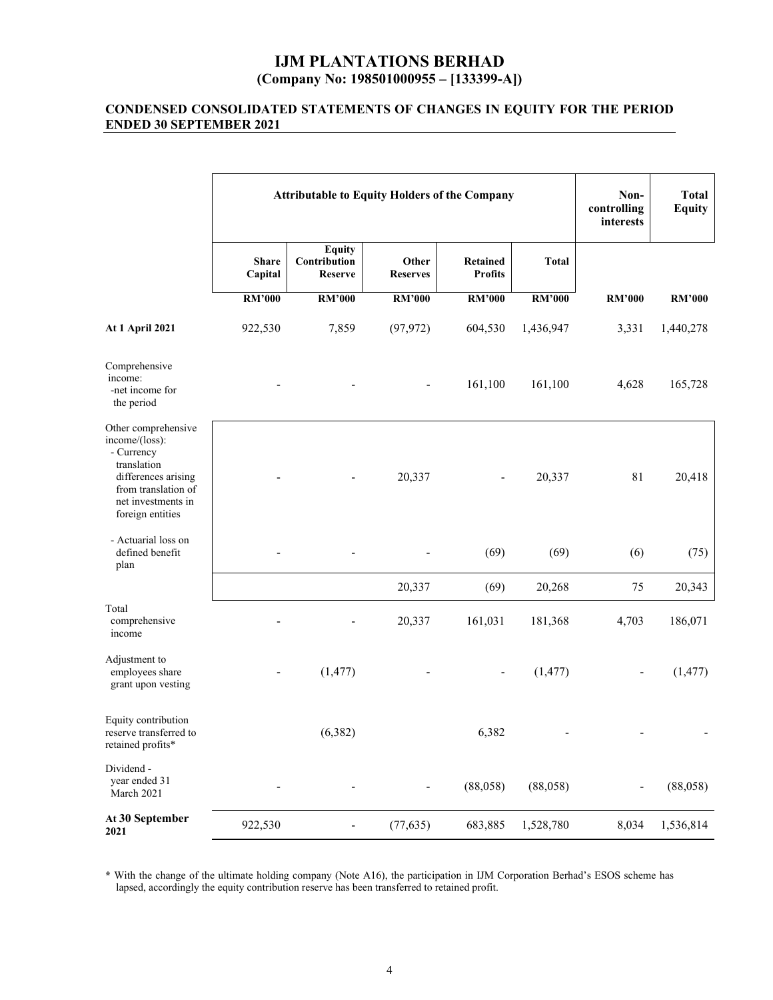## **CONDENSED CONSOLIDATED STATEMENTS OF CHANGES IN EQUITY FOR THE PERIOD ENDED 30 SEPTEMBER 2021**

|                                                                                                                                                            | <b>Attributable to Equity Holders of the Company</b> |                                                 |                          |                                   |               | Non-<br>controlling<br>interests | <b>Total</b><br><b>Equity</b> |
|------------------------------------------------------------------------------------------------------------------------------------------------------------|------------------------------------------------------|-------------------------------------------------|--------------------------|-----------------------------------|---------------|----------------------------------|-------------------------------|
|                                                                                                                                                            | <b>Share</b><br>Capital                              | <b>Equity</b><br>Contribution<br><b>Reserve</b> | Other<br><b>Reserves</b> | <b>Retained</b><br><b>Profits</b> | <b>Total</b>  |                                  |                               |
|                                                                                                                                                            | <b>RM'000</b>                                        | <b>RM'000</b>                                   | <b>RM'000</b>            | <b>RM'000</b>                     | <b>RM'000</b> | <b>RM'000</b>                    | <b>RM'000</b>                 |
| <b>At 1 April 2021</b>                                                                                                                                     | 922,530                                              | 7,859                                           | (97, 972)                | 604,530                           | 1,436,947     | 3,331                            | 1,440,278                     |
| Comprehensive<br>income:<br>-net income for<br>the period                                                                                                  |                                                      |                                                 |                          | 161,100                           | 161,100       | 4,628                            | 165,728                       |
| Other comprehensive<br>income/(loss):<br>- Currency<br>translation<br>differences arising<br>from translation of<br>net investments in<br>foreign entities |                                                      |                                                 | 20,337                   |                                   | 20,337        | 81                               | 20,418                        |
| - Actuarial loss on<br>defined benefit<br>plan                                                                                                             |                                                      |                                                 |                          | (69)                              | (69)          | (6)                              | (75)                          |
|                                                                                                                                                            |                                                      |                                                 | 20,337                   | (69)                              | 20,268        | 75                               | 20,343                        |
| Total<br>comprehensive<br>income                                                                                                                           |                                                      |                                                 | 20,337                   | 161,031                           | 181,368       | 4,703                            | 186,071                       |
| Adjustment to<br>employees share<br>grant upon vesting                                                                                                     |                                                      | (1, 477)                                        |                          |                                   | (1, 477)      |                                  | (1, 477)                      |
| Equity contribution<br>reserve transferred to<br>retained profits*                                                                                         |                                                      | (6, 382)                                        |                          | 6,382                             |               |                                  |                               |
| Dividend -<br>year ended 31<br>March 2021                                                                                                                  |                                                      | $\overline{a}$                                  |                          | (88,058)                          | (88,058)      |                                  | (88,058)                      |
| At 30 September<br>2021                                                                                                                                    | 922,530                                              |                                                 | (77, 635)                | 683,885                           | 1,528,780     | 8,034                            | 1,536,814                     |

**\*** With the change of the ultimate holding company (Note A16), the participation in IJM Corporation Berhad's ESOS scheme has lapsed, accordingly the equity contribution reserve has been transferred to retained profit.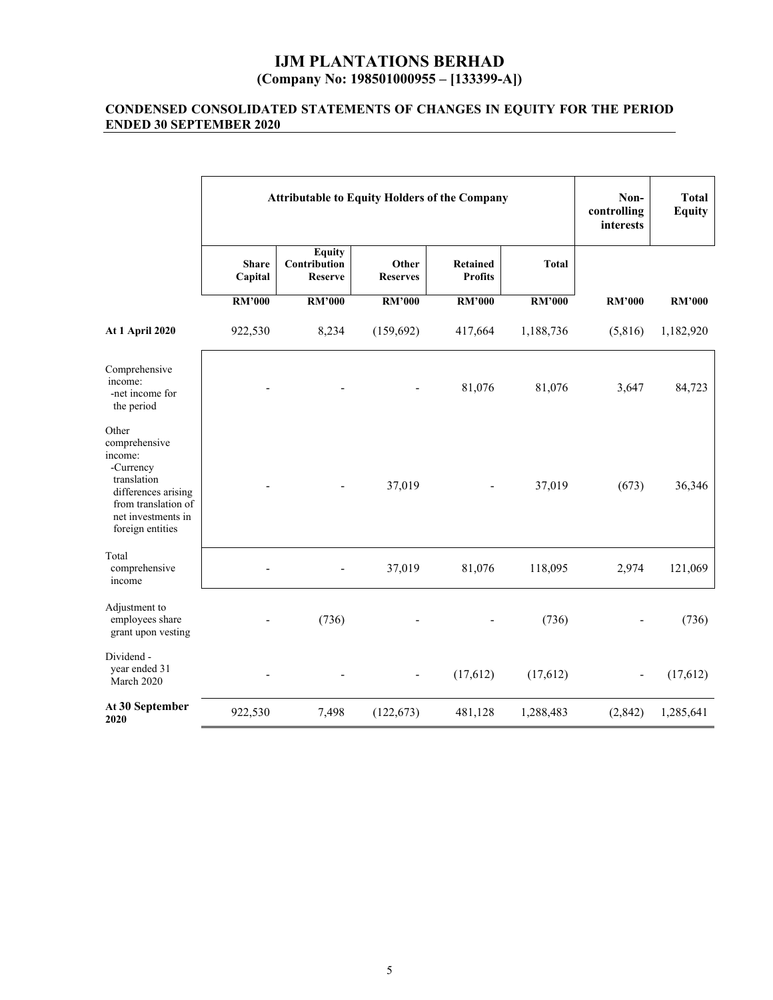### **CONDENSED CONSOLIDATED STATEMENTS OF CHANGES IN EQUITY FOR THE PERIOD ENDED 30 SEPTEMBER 2020**

|                                                                                                                                                       | <b>Attributable to Equity Holders of the Company</b> |                                                 |                          |                                   |               | Non-<br>controlling<br>interests | <b>Total</b><br><b>Equity</b> |
|-------------------------------------------------------------------------------------------------------------------------------------------------------|------------------------------------------------------|-------------------------------------------------|--------------------------|-----------------------------------|---------------|----------------------------------|-------------------------------|
|                                                                                                                                                       | <b>Share</b><br>Capital                              | <b>Equity</b><br>Contribution<br><b>Reserve</b> | Other<br><b>Reserves</b> | <b>Retained</b><br><b>Profits</b> | <b>Total</b>  |                                  |                               |
|                                                                                                                                                       | <b>RM'000</b>                                        | <b>RM'000</b>                                   | <b>RM'000</b>            | <b>RM'000</b>                     | <b>RM'000</b> | <b>RM'000</b>                    | <b>RM'000</b>                 |
| At 1 April 2020                                                                                                                                       | 922,530                                              | 8,234                                           | (159, 692)               | 417,664                           | 1,188,736     | (5,816)                          | 1,182,920                     |
| Comprehensive<br>income:<br>-net income for<br>the period                                                                                             |                                                      |                                                 |                          | 81,076                            | 81,076        | 3,647                            | 84,723                        |
| Other<br>comprehensive<br>income:<br>-Currency<br>translation<br>differences arising<br>from translation of<br>net investments in<br>foreign entities |                                                      |                                                 | 37,019                   |                                   | 37,019        | (673)                            | 36,346                        |
| Total<br>comprehensive<br>income                                                                                                                      |                                                      |                                                 | 37,019                   | 81,076                            | 118,095       | 2,974                            | 121,069                       |
| Adjustment to<br>employees share<br>grant upon vesting                                                                                                |                                                      | (736)                                           |                          |                                   | (736)         |                                  | (736)                         |
| Dividend -<br>year ended 31<br>March 2020                                                                                                             |                                                      |                                                 |                          | (17, 612)                         | (17,612)      | $\overline{\phantom{0}}$         | (17,612)                      |
| At 30 September<br>2020                                                                                                                               | 922,530                                              | 7,498                                           | (122, 673)               | 481,128                           | 1,288,483     | (2,842)                          | 1,285,641                     |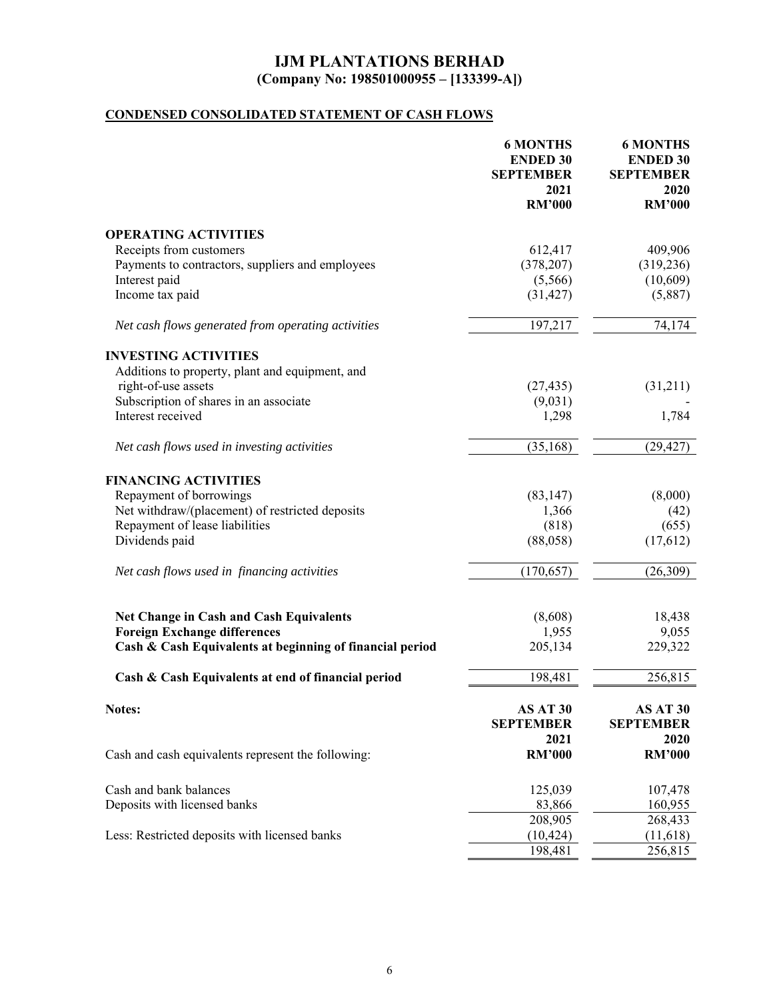# **CONDENSED CONSOLIDATED STATEMENT OF CASH FLOWS**

|                                                          | <b>6 MONTHS</b><br><b>ENDED 30</b><br><b>SEPTEMBER</b><br>2021 | <b>6 MONTHS</b><br><b>ENDED 30</b><br><b>SEPTEMBER</b><br>2020 |
|----------------------------------------------------------|----------------------------------------------------------------|----------------------------------------------------------------|
|                                                          | <b>RM'000</b>                                                  | <b>RM'000</b>                                                  |
| <b>OPERATING ACTIVITIES</b>                              |                                                                |                                                                |
| Receipts from customers                                  | 612,417                                                        | 409,906                                                        |
| Payments to contractors, suppliers and employees         | (378, 207)                                                     | (319, 236)                                                     |
| Interest paid                                            | (5,566)                                                        | (10,609)                                                       |
| Income tax paid                                          | (31, 427)                                                      | (5,887)                                                        |
| Net cash flows generated from operating activities       | 197,217                                                        | 74,174                                                         |
| <b>INVESTING ACTIVITIES</b>                              |                                                                |                                                                |
| Additions to property, plant and equipment, and          |                                                                |                                                                |
| right-of-use assets                                      | (27, 435)                                                      | (31,211)                                                       |
| Subscription of shares in an associate                   | (9,031)                                                        |                                                                |
| Interest received                                        | 1,298                                                          | 1,784                                                          |
| Net cash flows used in investing activities              | (35, 168)                                                      | (29, 427)                                                      |
| <b>FINANCING ACTIVITIES</b>                              |                                                                |                                                                |
| Repayment of borrowings                                  | (83, 147)                                                      | (8,000)                                                        |
| Net withdraw/(placement) of restricted deposits          | 1,366                                                          | (42)                                                           |
| Repayment of lease liabilities                           | (818)                                                          | (655)                                                          |
| Dividends paid                                           | (88,058)                                                       | (17,612)                                                       |
| Net cash flows used in financing activities              | (170, 657)                                                     | (26, 309)                                                      |
| <b>Net Change in Cash and Cash Equivalents</b>           | (8,608)                                                        | 18,438                                                         |
| <b>Foreign Exchange differences</b>                      | 1,955                                                          | 9,055                                                          |
| Cash & Cash Equivalents at beginning of financial period | 205,134                                                        | 229,322                                                        |
| Cash & Cash Equivalents at end of financial period       | 198,481                                                        | 256,815                                                        |
| Notes:                                                   | AS AT 30<br><b>SEPTEMBER</b>                                   | AS AT 30<br><b>SEPTEMBER</b>                                   |
| Cash and cash equivalents represent the following:       | 2021<br><b>RM'000</b>                                          | 2020<br><b>RM'000</b>                                          |
| Cash and bank balances                                   | 125,039                                                        | 107,478                                                        |
| Deposits with licensed banks                             | 83,866                                                         | 160,955                                                        |
|                                                          | 208,905                                                        | 268,433                                                        |
| Less: Restricted deposits with licensed banks            | (10, 424)                                                      | (11,618)                                                       |
|                                                          | 198,481                                                        | 256,815                                                        |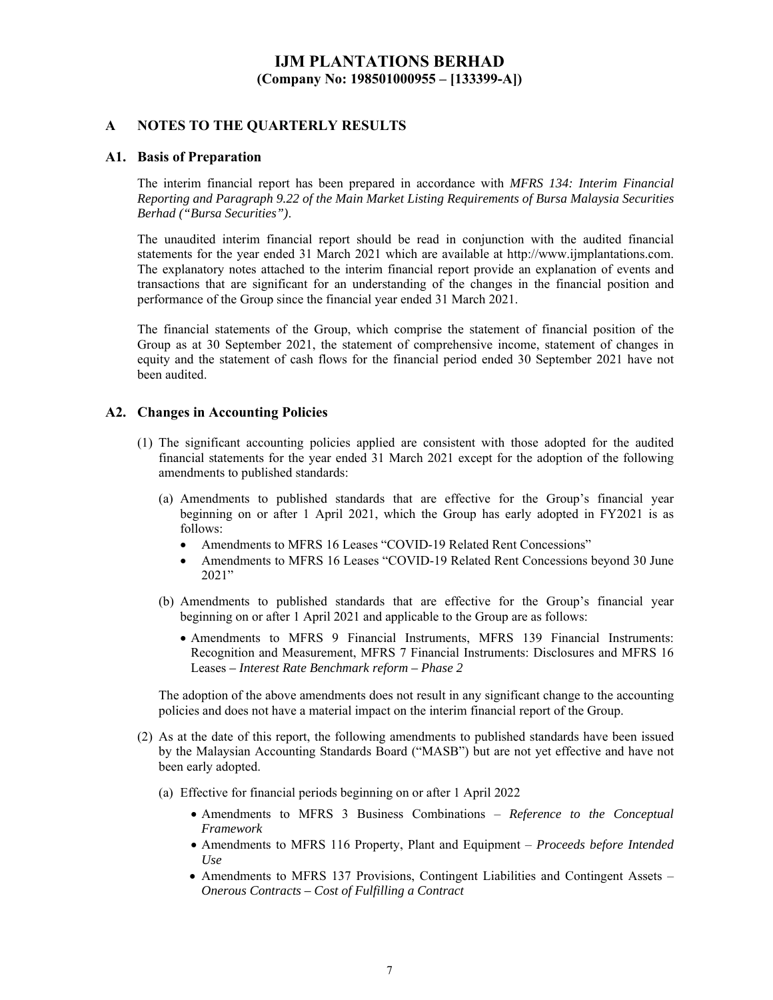### **A NOTES TO THE QUARTERLY RESULTS**

#### **A1. Basis of Preparation**

The interim financial report has been prepared in accordance with *MFRS 134: Interim Financial Reporting and Paragraph 9.22 of the Main Market Listing Requirements of Bursa Malaysia Securities Berhad ("Bursa Securities")*.

The unaudited interim financial report should be read in conjunction with the audited financial statements for the year ended 31 March 2021 which are available at http://www.ijmplantations.com. The explanatory notes attached to the interim financial report provide an explanation of events and transactions that are significant for an understanding of the changes in the financial position and performance of the Group since the financial year ended 31 March 2021.

The financial statements of the Group, which comprise the statement of financial position of the Group as at 30 September 2021, the statement of comprehensive income, statement of changes in equity and the statement of cash flows for the financial period ended 30 September 2021 have not been audited.

#### **A2. Changes in Accounting Policies**

- (1) The significant accounting policies applied are consistent with those adopted for the audited financial statements for the year ended 31 March 2021 except for the adoption of the following amendments to published standards:
	- (a) Amendments to published standards that are effective for the Group's financial year beginning on or after 1 April 2021, which the Group has early adopted in FY2021 is as follows:
		- Amendments to MFRS 16 Leases "COVID-19 Related Rent Concessions"
		- Amendments to MFRS 16 Leases "COVID-19 Related Rent Concessions beyond 30 June 2021"
	- (b) Amendments to published standards that are effective for the Group's financial year beginning on or after 1 April 2021 and applicable to the Group are as follows:
		- Amendments to MFRS 9 Financial Instruments, MFRS 139 Financial Instruments: Recognition and Measurement, MFRS 7 Financial Instruments: Disclosures and MFRS 16 Leases *– Interest Rate Benchmark reform – Phase 2*

The adoption of the above amendments does not result in any significant change to the accounting policies and does not have a material impact on the interim financial report of the Group.

- (2) As at the date of this report, the following amendments to published standards have been issued by the Malaysian Accounting Standards Board ("MASB") but are not yet effective and have not been early adopted.
	- (a) Effective for financial periods beginning on or after 1 April 2022
		- Amendments to MFRS 3 Business Combinations *Reference to the Conceptual Framework*
		- Amendments to MFRS 116 Property, Plant and Equipment *Proceeds before Intended Use*
		- Amendments to MFRS 137 Provisions, Contingent Liabilities and Contingent Assets *Onerous Contracts – Cost of Fulfilling a Contract*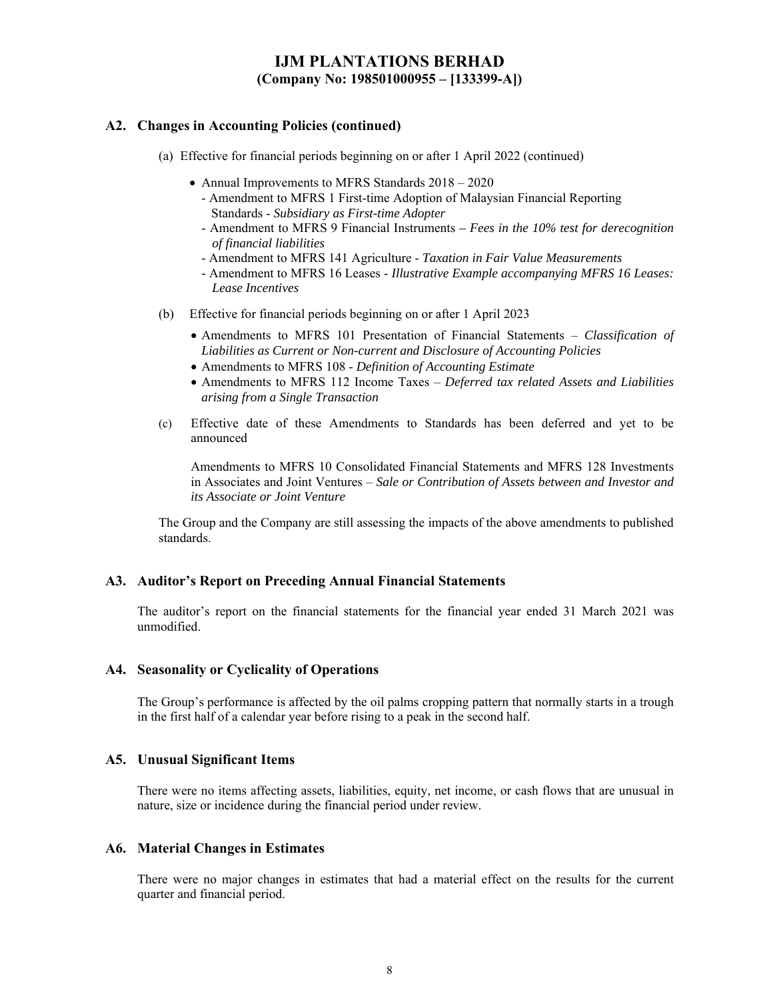### **A2. Changes in Accounting Policies (continued)**

- (a) Effective for financial periods beginning on or after 1 April 2022 (continued)
	- Annual Improvements to MFRS Standards  $2018 2020$ 
		- Amendment to MFRS 1 First-time Adoption of Malaysian Financial Reporting Standards - *Subsidiary as First-time Adopter*
		- Amendment to MFRS 9 Financial Instruments  *Fees in the 10% test for derecognition of financial liabilities*
		- Amendment to MFRS 141 Agriculture *Taxation in Fair Value Measurements*
		- Amendment to MFRS 16 Leases - *Illustrative Example accompanying MFRS 16 Leases: Lease Incentives*
- (b) Effective for financial periods beginning on or after 1 April 2023
	- Amendments to MFRS 101 Presentation of Financial Statements *Classification of Liabilities as Current or Non-current and Disclosure of Accounting Policies*
	- Amendments to MFRS 108 *Definition of Accounting Estimate*
	- Amendments to MFRS 112 Income Taxes *Deferred tax related Assets and Liabilities arising from a Single Transaction*
- (c) Effective date of these Amendments to Standards has been deferred and yet to be announced

Amendments to MFRS 10 Consolidated Financial Statements and MFRS 128 Investments in Associates and Joint Ventures – *Sale or Contribution of Assets between and Investor and its Associate or Joint Venture*

The Group and the Company are still assessing the impacts of the above amendments to published standards.

### **A3. Auditor's Report on Preceding Annual Financial Statements**

The auditor's report on the financial statements for the financial year ended 31 March 2021 was unmodified.

### **A4. Seasonality or Cyclicality of Operations**

The Group's performance is affected by the oil palms cropping pattern that normally starts in a trough in the first half of a calendar year before rising to a peak in the second half.

### **A5. Unusual Significant Items**

There were no items affecting assets, liabilities, equity, net income, or cash flows that are unusual in nature, size or incidence during the financial period under review.

### **A6. Material Changes in Estimates**

There were no major changes in estimates that had a material effect on the results for the current quarter and financial period.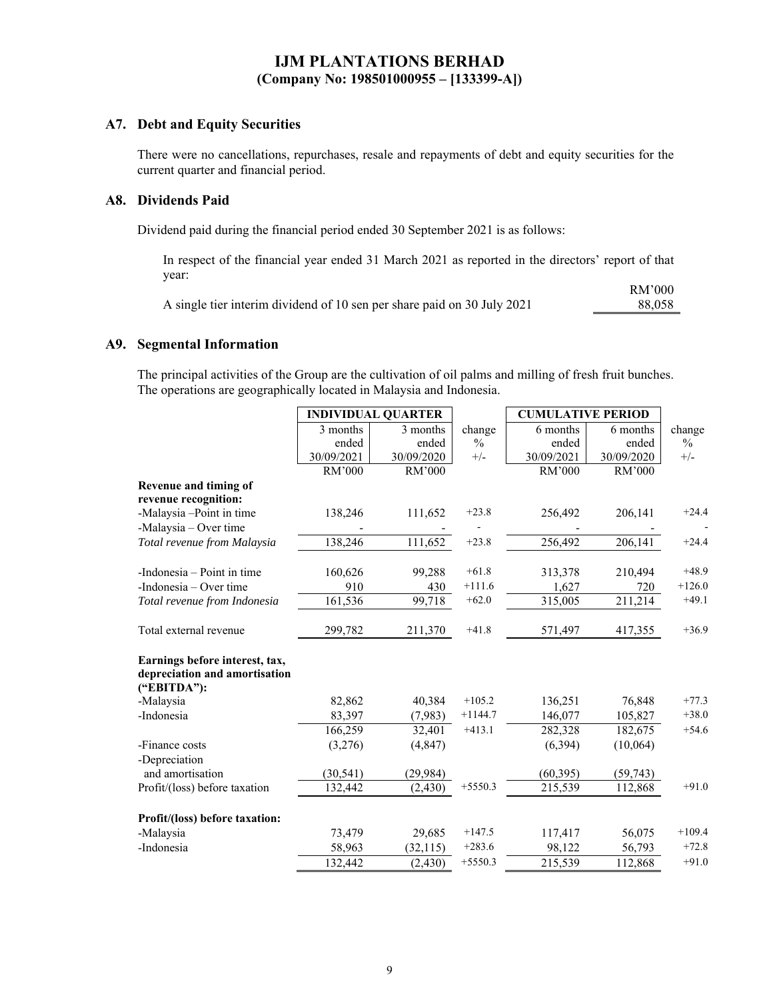## **A7. Debt and Equity Securities**

There were no cancellations, repurchases, resale and repayments of debt and equity securities for the current quarter and financial period.

### **A8. Dividends Paid**

Dividend paid during the financial period ended 30 September 2021 is as follows:

In respect of the financial year ended 31 March 2021 as reported in the directors' report of that year:

|                                                                         | RM'000 |
|-------------------------------------------------------------------------|--------|
| A single tier interim dividend of 10 sen per share paid on 30 July 2021 | 88,058 |

### **A9. Segmental Information**

The principal activities of the Group are the cultivation of oil palms and milling of fresh fruit bunches. The operations are geographically located in Malaysia and Indonesia.

|                                                                 | <b>INDIVIDUAL QUARTER</b> |            |               | <b>CUMULATIVE PERIOD</b> |            |               |
|-----------------------------------------------------------------|---------------------------|------------|---------------|--------------------------|------------|---------------|
|                                                                 | 3 months                  | 3 months   | change        | 6 months                 | 6 months   | change        |
|                                                                 | ended                     | ended      | $\frac{0}{0}$ | ended                    | ended      | $\frac{0}{0}$ |
|                                                                 | 30/09/2021                | 30/09/2020 | $+/-$         | 30/09/2021               | 30/09/2020 | $+/-$         |
|                                                                 | RM'000                    | RM'000     |               | RM'000                   | RM'000     |               |
| Revenue and timing of                                           |                           |            |               |                          |            |               |
| revenue recognition:                                            |                           |            |               |                          |            |               |
| -Malaysia -Point in time                                        | 138,246                   | 111,652    | $+23.8$       | 256,492                  | 206,141    | $+24.4$       |
| -Malaysia – Over time                                           |                           |            |               |                          |            |               |
| Total revenue from Malaysia                                     | 138,246                   | 111,652    | $+23.8$       | 256,492                  | 206,141    | $+24.4$       |
| -Indonesia – Point in time                                      | 160,626                   | 99,288     | $+61.8$       | 313,378                  | 210,494    | $+48.9$       |
| -Indonesia – Over time                                          | 910                       | 430        | $+111.6$      | 1,627                    | 720        | $+126.0$      |
| Total revenue from Indonesia                                    | 161,536                   | 99,718     | $+62.0$       | 315,005                  | 211,214    | $+49.1$       |
| Total external revenue                                          | 299,782                   | 211,370    | $+41.8$       | 571,497                  | 417,355    | $+36.9$       |
| Earnings before interest, tax,<br>depreciation and amortisation |                           |            |               |                          |            |               |
| ("EBITDA"):                                                     |                           |            | $+105.2$      |                          |            | $+77.3$       |
| -Malaysia<br>-Indonesia                                         | 82,862<br>83,397          | 40,384     | $+1144.7$     | 136,251                  | 76,848     | $+38.0$       |
|                                                                 |                           | (7,983)    | $+413.1$      | 146,077                  | 105,827    | $+54.6$       |
|                                                                 | 166,259                   | 32,401     |               | 282,328                  | 182,675    |               |
| -Finance costs                                                  | (3,276)                   | (4, 847)   |               | (6,394)                  | (10,064)   |               |
| -Depreciation<br>and amortisation                               | (30, 541)                 | (29, 984)  |               | (60, 395)                | (59, 743)  |               |
| Profit/(loss) before taxation                                   | 132,442                   | (2, 430)   | $+5550.3$     | 215,539                  | 112,868    | $+91.0$       |
|                                                                 |                           |            |               |                          |            |               |
| Profit/(loss) before taxation:                                  |                           |            |               |                          |            |               |
| -Malaysia                                                       | 73,479                    | 29,685     | $+147.5$      | 117,417                  | 56,075     | $+109.4$      |
| -Indonesia                                                      | 58,963                    | (32, 115)  | $+283.6$      | 98,122                   | 56,793     | $+72.8$       |
|                                                                 | 132,442                   | (2, 430)   | $+5550.3$     | 215,539                  | 112,868    | $+91.0$       |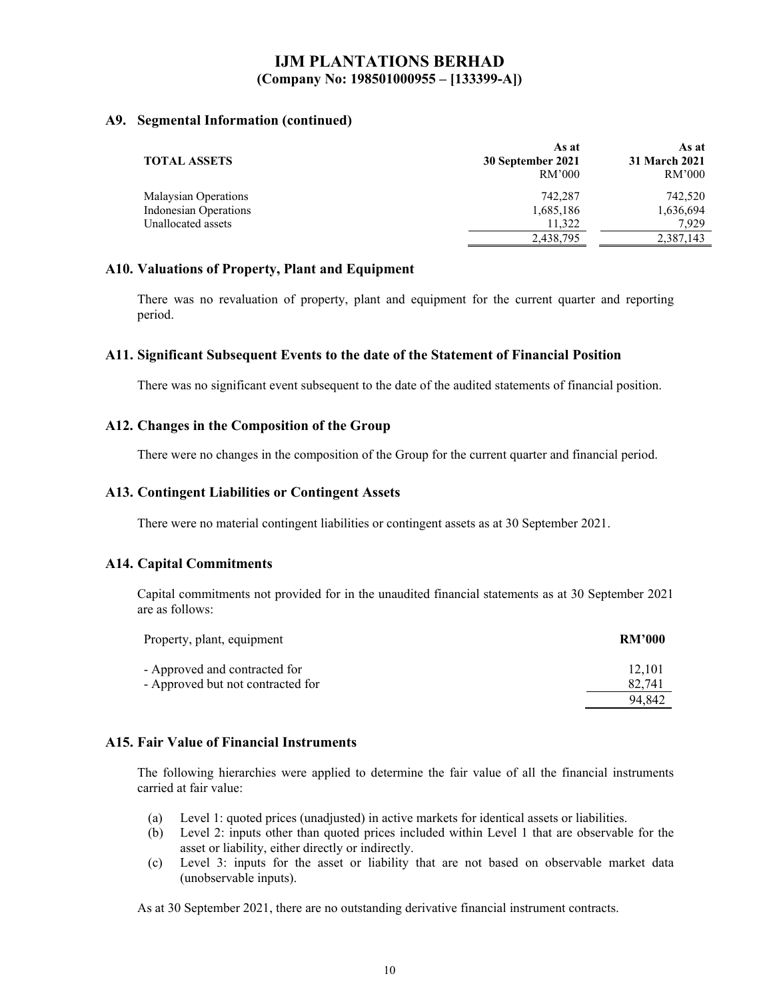### **A9. Segmental Information (continued)**

|                       | As at                       | As at                   |
|-----------------------|-----------------------------|-------------------------|
| <b>TOTAL ASSETS</b>   | 30 September 2021<br>RM'000 | 31 March 2021<br>RM'000 |
| Malaysian Operations  | 742,287                     | 742,520                 |
| Indonesian Operations | 1,685,186                   | 1,636,694               |
| Unallocated assets    | 11,322                      | 7.929                   |
|                       | 2,438,795                   | 2,387,143               |

### **A10. Valuations of Property, Plant and Equipment**

There was no revaluation of property, plant and equipment for the current quarter and reporting period.

### **A11. Significant Subsequent Events to the date of the Statement of Financial Position**

There was no significant event subsequent to the date of the audited statements of financial position.

### **A12. Changes in the Composition of the Group**

There were no changes in the composition of the Group for the current quarter and financial period.

### **A13. Contingent Liabilities or Contingent Assets**

There were no material contingent liabilities or contingent assets as at 30 September 2021.

### **A14. Capital Commitments**

Capital commitments not provided for in the unaudited financial statements as at 30 September 2021 are as follows:

| <b>RM'000</b> |
|---------------|
| 12.101        |
| 82,741        |
| 94.842        |
|               |

### **A15. Fair Value of Financial Instruments**

The following hierarchies were applied to determine the fair value of all the financial instruments carried at fair value:

- (a) Level 1: quoted prices (unadjusted) in active markets for identical assets or liabilities.
- (b) Level 2: inputs other than quoted prices included within Level 1 that are observable for the asset or liability, either directly or indirectly.
- (c) Level 3: inputs for the asset or liability that are not based on observable market data (unobservable inputs).

As at 30 September 2021, there are no outstanding derivative financial instrument contracts.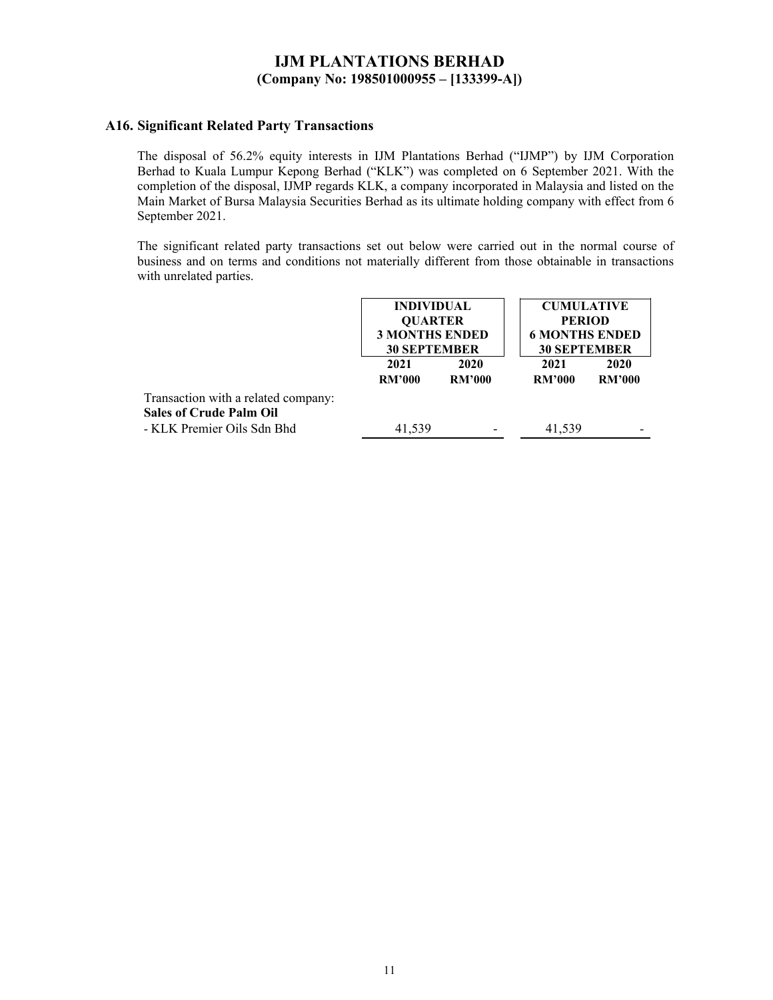### **A16. Significant Related Party Transactions**

The disposal of 56.2% equity interests in IJM Plantations Berhad ("IJMP") by IJM Corporation Berhad to Kuala Lumpur Kepong Berhad ("KLK") was completed on 6 September 2021. With the completion of the disposal, IJMP regards KLK, a company incorporated in Malaysia and listed on the Main Market of Bursa Malaysia Securities Berhad as its ultimate holding company with effect from 6 September 2021.

The significant related party transactions set out below were carried out in the normal course of business and on terms and conditions not materially different from those obtainable in transactions with unrelated parties.

|                                                                       |                       | <b>INDIVIDUAL</b><br><b>CUMULATIVE</b><br><b>QUARTER</b><br><b>PERIOD</b><br><b>3 MONTHS ENDED</b><br><b>6 MONTHS ENDED</b><br><b>30 SEPTEMBER</b><br><b>30 SEPTEMBER</b> |                       |                       |
|-----------------------------------------------------------------------|-----------------------|---------------------------------------------------------------------------------------------------------------------------------------------------------------------------|-----------------------|-----------------------|
|                                                                       | 2021<br><b>RM'000</b> | 2020<br><b>RM'000</b>                                                                                                                                                     | 2021<br><b>RM'000</b> | 2020<br><b>RM'000</b> |
| Transaction with a related company:<br><b>Sales of Crude Palm Oil</b> |                       |                                                                                                                                                                           |                       |                       |
| - KLK Premier Oils Sdn Bhd                                            | 41,539                |                                                                                                                                                                           | 41,539                |                       |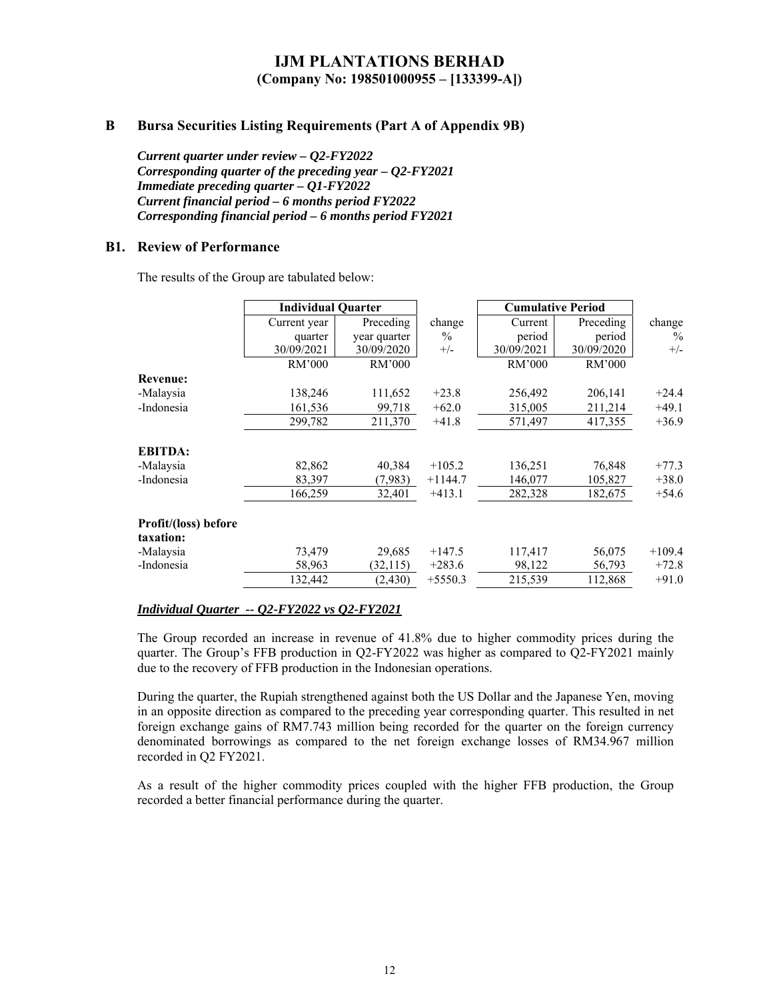### **B Bursa Securities Listing Requirements (Part A of Appendix 9B)**

*Current quarter under review – Q2-FY2022 Corresponding quarter of the preceding year – Q2-FY2021 Immediate preceding quarter – Q1-FY2022 Current financial period – 6 months period FY2022 Corresponding financial period – 6 months period FY2021* 

### **B1. Review of Performance**

The results of the Group are tabulated below:

|                                   | <b>Individual Quarter</b> |              |           | <b>Cumulative Period</b> |            |          |
|-----------------------------------|---------------------------|--------------|-----------|--------------------------|------------|----------|
|                                   | Current year              | Preceding    | change    | Current                  | Preceding  | change   |
|                                   | quarter                   | year quarter | $\%$      | period                   | period     | $\%$     |
|                                   | 30/09/2021                | 30/09/2020   | $+/-$     | 30/09/2021               | 30/09/2020 | $+/-$    |
|                                   | RM'000                    | RM'000       |           | RM'000                   | RM'000     |          |
| <b>Revenue:</b>                   |                           |              |           |                          |            |          |
| -Malaysia                         | 138,246                   | 111,652      | $+23.8$   | 256,492                  | 206,141    | $+24.4$  |
| -Indonesia                        | 161,536                   | 99,718       | $+62.0$   | 315,005                  | 211,214    | $+49.1$  |
|                                   | 299,782                   | 211,370      | $+41.8$   | 571,497                  | 417,355    | $+36.9$  |
| <b>EBITDA:</b>                    |                           |              |           |                          |            |          |
| -Malaysia                         | 82,862                    | 40,384       | $+105.2$  | 136,251                  | 76,848     | $+77.3$  |
| -Indonesia                        | 83,397                    | (7,983)      | $+1144.7$ | 146,077                  | 105,827    | $+38.0$  |
|                                   | 166,259                   | 32,401       | $+413.1$  | 282,328                  | 182,675    | $+54.6$  |
| Profit/(loss) before<br>taxation: |                           |              |           |                          |            |          |
| -Malaysia                         | 73,479                    | 29,685       | $+147.5$  | 117,417                  | 56,075     | $+109.4$ |
| -Indonesia                        | 58,963                    | (32, 115)    | $+283.6$  | 98,122                   | 56,793     | $+72.8$  |
|                                   | 132,442                   | (2, 430)     | $+5550.3$ | 215,539                  | 112,868    | $+91.0$  |

#### *Individual Quarter -- Q2-FY2022 vs Q2-FY2021*

The Group recorded an increase in revenue of 41.8% due to higher commodity prices during the quarter. The Group's FFB production in Q2-FY2022 was higher as compared to Q2-FY2021 mainly due to the recovery of FFB production in the Indonesian operations.

During the quarter, the Rupiah strengthened against both the US Dollar and the Japanese Yen, moving in an opposite direction as compared to the preceding year corresponding quarter. This resulted in net foreign exchange gains of RM7.743 million being recorded for the quarter on the foreign currency denominated borrowings as compared to the net foreign exchange losses of RM34.967 million recorded in Q2 FY2021.

As a result of the higher commodity prices coupled with the higher FFB production, the Group recorded a better financial performance during the quarter.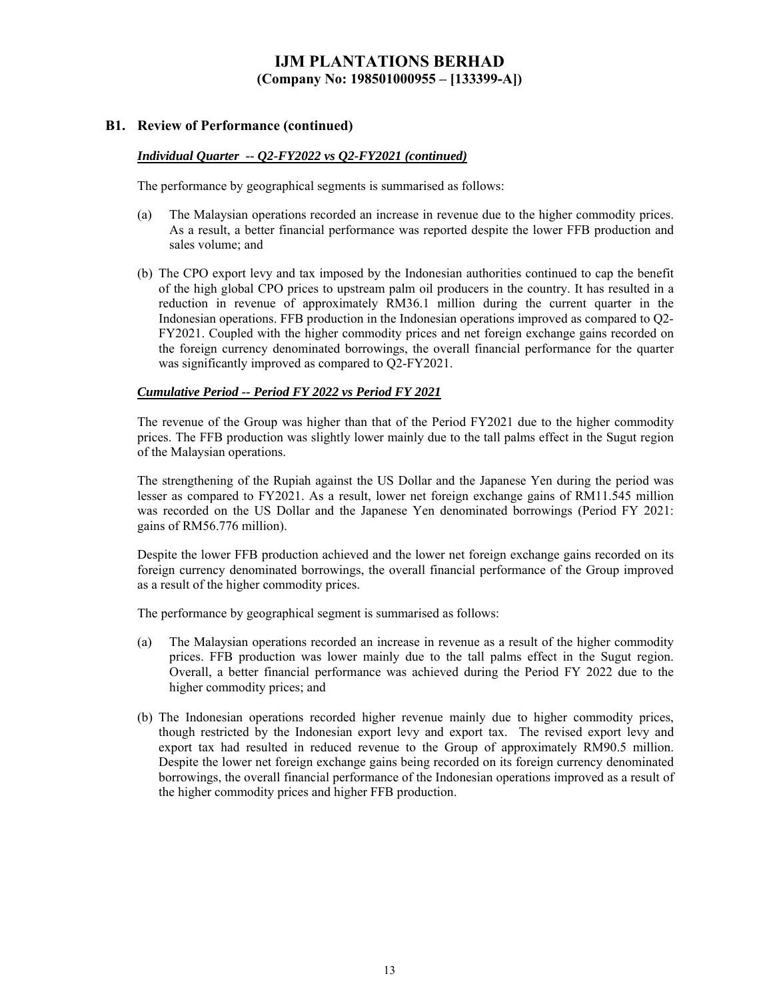### **B1. Review of Performance (continued)**

#### *Individual Quarter -- Q2-FY2022 vs Q2-FY2021 (continued)*

The performance by geographical segments is summarised as follows:

- (a) The Malaysian operations recorded an increase in revenue due to the higher commodity prices. As a result, a better financial performance was reported despite the lower FFB production and sales volume; and
- (b) The CPO export levy and tax imposed by the Indonesian authorities continued to cap the benefit of the high global CPO prices to upstream palm oil producers in the country. It has resulted in a reduction in revenue of approximately RM36.1 million during the current quarter in the Indonesian operations. FFB production in the Indonesian operations improved as compared to Q2- FY2021. Coupled with the higher commodity prices and net foreign exchange gains recorded on the foreign currency denominated borrowings, the overall financial performance for the quarter was significantly improved as compared to Q2-FY2021.

#### *Cumulative Period -- Period FY 2022 vs Period FY 2021*

The revenue of the Group was higher than that of the Period FY2021 due to the higher commodity prices. The FFB production was slightly lower mainly due to the tall palms effect in the Sugut region of the Malaysian operations.

The strengthening of the Rupiah against the US Dollar and the Japanese Yen during the period was lesser as compared to FY2021. As a result, lower net foreign exchange gains of RM11.545 million was recorded on the US Dollar and the Japanese Yen denominated borrowings (Period FY 2021: gains of RM56.776 million).

Despite the lower FFB production achieved and the lower net foreign exchange gains recorded on its foreign currency denominated borrowings, the overall financial performance of the Group improved as a result of the higher commodity prices.

The performance by geographical segment is summarised as follows:

- (a) The Malaysian operations recorded an increase in revenue as a result of the higher commodity prices. FFB production was lower mainly due to the tall palms effect in the Sugut region. Overall, a better financial performance was achieved during the Period FY 2022 due to the higher commodity prices; and
- (b) The Indonesian operations recorded higher revenue mainly due to higher commodity prices, though restricted by the Indonesian export levy and export tax. The revised export levy and export tax had resulted in reduced revenue to the Group of approximately RM90.5 million. Despite the lower net foreign exchange gains being recorded on its foreign currency denominated borrowings, the overall financial performance of the Indonesian operations improved as a result of the higher commodity prices and higher FFB production.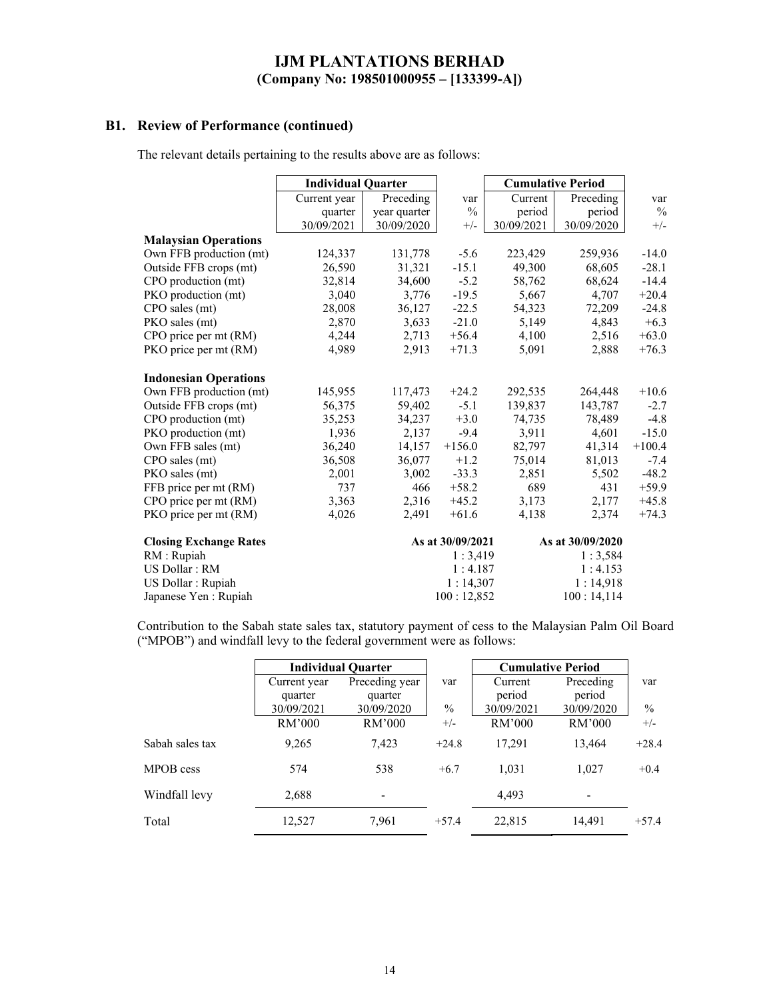## **B1. Review of Performance (continued)**

The relevant details pertaining to the results above are as follows:

|                               | <b>Individual Quarter</b> |              |                  | <b>Cumulative Period</b> |                  |               |
|-------------------------------|---------------------------|--------------|------------------|--------------------------|------------------|---------------|
|                               | Current year              | Preceding    | var              | Current                  | Preceding        | var           |
|                               | quarter                   | year quarter | $\frac{0}{0}$    | period                   | period           | $\frac{0}{0}$ |
|                               | 30/09/2021                | 30/09/2020   | $+/-$            | 30/09/2021               | 30/09/2020       | $+/-$         |
| <b>Malaysian Operations</b>   |                           |              |                  |                          |                  |               |
| Own FFB production (mt)       | 124,337                   | 131,778      | $-5.6$           | 223,429                  | 259,936          | $-14.0$       |
| Outside FFB crops (mt)        | 26,590                    | 31,321       | $-15.1$          | 49,300                   | 68,605           | $-28.1$       |
| CPO production (mt)           | 32,814                    | 34,600       | $-5.2$           | 58,762                   | 68,624           | $-14.4$       |
| PKO production (mt)           | 3,040                     | 3,776        | $-19.5$          | 5,667                    | 4,707            | $+20.4$       |
| CPO sales (mt)                | 28,008                    | 36,127       | $-22.5$          | 54,323                   | 72,209           | $-24.8$       |
| PKO sales (mt)                | 2,870                     | 3,633        | $-21.0$          | 5,149                    | 4,843            | $+6.3$        |
| CPO price per mt (RM)         | 4,244                     | 2,713        | $+56.4$          | 4,100                    | 2,516            | $+63.0$       |
| PKO price per mt (RM)         | 4,989                     | 2,913        | $+71.3$          | 5,091                    | 2,888            | $+76.3$       |
| <b>Indonesian Operations</b>  |                           |              |                  |                          |                  |               |
| Own FFB production (mt)       | 145,955                   | 117,473      | $+24.2$          | 292,535                  | 264,448          | $+10.6$       |
| Outside FFB crops (mt)        | 56,375                    | 59,402       | $-5.1$           | 139,837                  | 143,787          | $-2.7$        |
| CPO production (mt)           | 35,253                    | 34,237       | $+3.0$           | 74,735                   | 78,489           | $-4.8$        |
| PKO production (mt)           | 1,936                     | 2,137        | $-9.4$           | 3,911                    | 4,601            | $-15.0$       |
| Own FFB sales (mt)            | 36,240                    | 14,157       | $+156.0$         | 82,797                   | 41,314           | $+100.4$      |
| CPO sales (mt)                | 36,508                    | 36,077       | $+1.2$           | 75,014                   | 81,013           | $-7.4$        |
| PKO sales (mt)                | 2,001                     | 3,002        | $-33.3$          | 2,851                    | 5,502            | $-48.2$       |
| FFB price per mt (RM)         | 737                       | 466          | $+58.2$          | 689                      | 431              | $+59.9$       |
| CPO price per mt (RM)         | 3,363                     | 2,316        | $+45.2$          | 3,173                    | 2,177            | $+45.8$       |
| PKO price per mt (RM)         | 4,026                     | 2,491        | $+61.6$          | 4,138                    | 2,374            | $+74.3$       |
| <b>Closing Exchange Rates</b> |                           |              | As at 30/09/2021 |                          | As at 30/09/2020 |               |
| RM: Rupiah                    |                           |              | 1:3,419          |                          | 1:3,584          |               |
| US Dollar: RM                 |                           |              | 1:4.187          |                          | 1:4.153          |               |
| US Dollar : Rupiah            |                           |              | 1:14,307         |                          | 1:14,918         |               |
| Japanese Yen : Rupiah         |                           |              | 100:12,852       |                          | 100:14,114       |               |

Contribution to the Sabah state sales tax, statutory payment of cess to the Malaysian Palm Oil Board ("MPOB") and windfall levy to the federal government were as follows:

|                 | <b>Individual Quarter</b> |                |         | <b>Cumulative Period</b> |            |         |
|-----------------|---------------------------|----------------|---------|--------------------------|------------|---------|
|                 | Current year              | Preceding year | var     | Current                  | Preceding  | var     |
|                 | quarter                   | quarter        |         | period                   | period     |         |
|                 | 30/09/2021                | 30/09/2020     | $\%$    | 30/09/2021               | 30/09/2020 | $\%$    |
|                 | RM'000                    | RM'000         | $+/-$   | RM'000                   | RM'000     | $+/-$   |
| Sabah sales tax | 9,265                     | 7,423          | $+24.8$ | 17.291                   | 13.464     | $+28.4$ |
| MPOB cess       | 574                       | 538            | $+6.7$  | 1,031                    | 1,027      | $+0.4$  |
| Windfall levy   | 2,688                     | -              |         | 4.493                    | -          |         |
| Total           | 12,527                    | 7,961          | $+57.4$ | 22,815                   | 14,491     | $+57.4$ |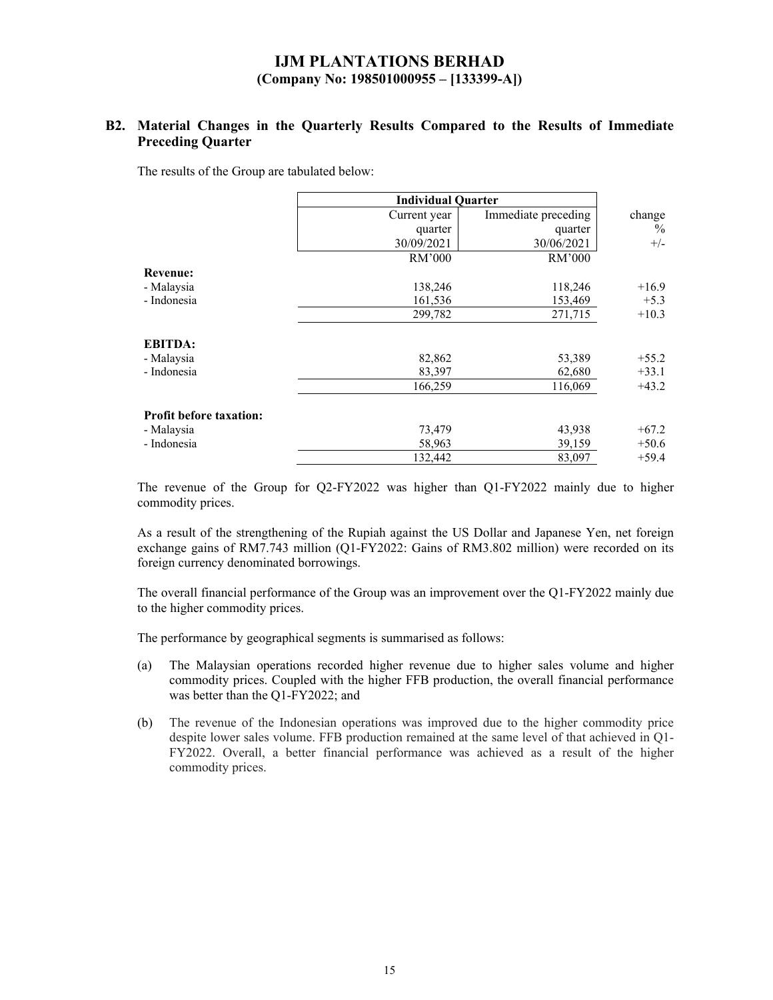## **B2. Material Changes in the Quarterly Results Compared to the Results of Immediate Preceding Quarter**

The results of the Group are tabulated below:

|                                | <b>Individual Quarter</b> |                     |         |
|--------------------------------|---------------------------|---------------------|---------|
|                                | Current year              | Immediate preceding | change  |
|                                | quarter                   | quarter             | $\%$    |
|                                | 30/09/2021                | 30/06/2021          | $+/-$   |
|                                | RM'000                    | RM'000              |         |
| <b>Revenue:</b>                |                           |                     |         |
| - Malaysia                     | 138,246                   | 118,246             | $+16.9$ |
| - Indonesia                    | 161,536                   | 153,469             | $+5.3$  |
|                                | 299,782                   | 271,715             | $+10.3$ |
| <b>EBITDA:</b>                 |                           |                     |         |
| - Malaysia                     | 82,862                    | 53,389              | $+55.2$ |
| - Indonesia                    | 83,397                    | 62,680              | $+33.1$ |
|                                | 166,259                   | 116,069             | $+43.2$ |
| <b>Profit before taxation:</b> |                           |                     |         |
| - Malaysia                     | 73,479                    | 43,938              | $+67.2$ |
| - Indonesia                    | 58,963                    | 39,159              | $+50.6$ |
|                                | 132,442                   | 83,097              | $+59.4$ |

The revenue of the Group for Q2-FY2022 was higher than Q1-FY2022 mainly due to higher commodity prices.

As a result of the strengthening of the Rupiah against the US Dollar and Japanese Yen, net foreign exchange gains of RM7.743 million (Q1-FY2022: Gains of RM3.802 million) were recorded on its foreign currency denominated borrowings.

The overall financial performance of the Group was an improvement over the Q1-FY2022 mainly due to the higher commodity prices.

The performance by geographical segments is summarised as follows:

- (a) The Malaysian operations recorded higher revenue due to higher sales volume and higher commodity prices. Coupled with the higher FFB production, the overall financial performance was better than the Q1-FY2022; and
- (b) The revenue of the Indonesian operations was improved due to the higher commodity price despite lower sales volume. FFB production remained at the same level of that achieved in Q1- FY2022. Overall, a better financial performance was achieved as a result of the higher commodity prices.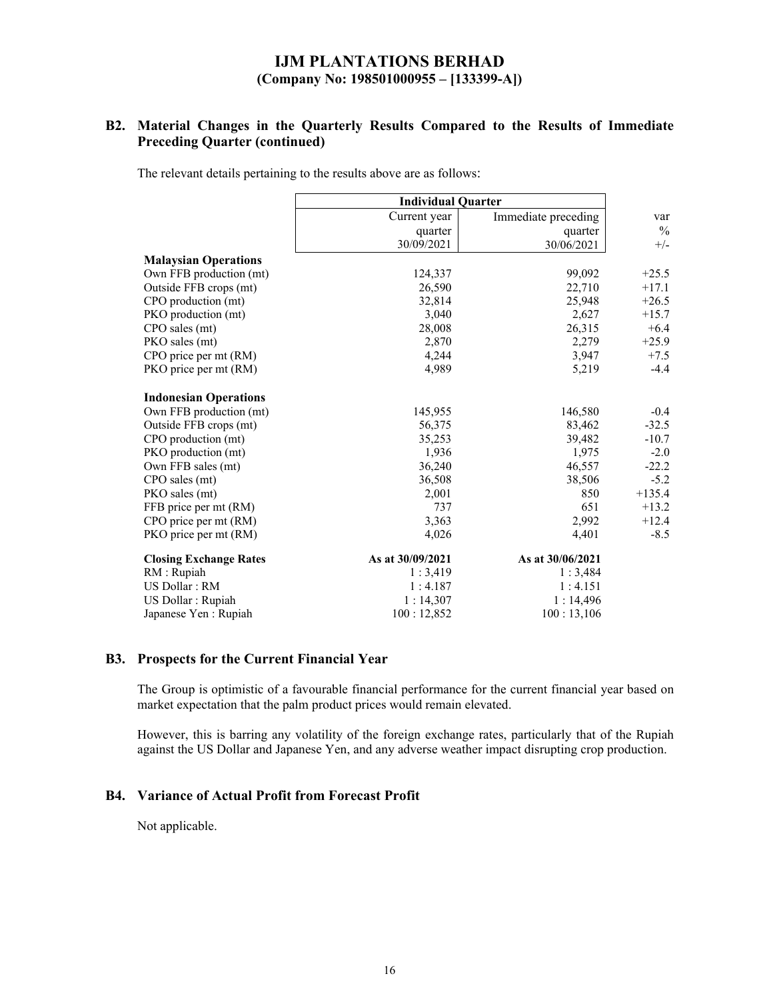## **B2. Material Changes in the Quarterly Results Compared to the Results of Immediate Preceding Quarter (continued)**

The relevant details pertaining to the results above are as follows:

|                               | <b>Individual Quarter</b> |                     |               |
|-------------------------------|---------------------------|---------------------|---------------|
|                               | Current year              | Immediate preceding | var           |
|                               | quarter                   | quarter             | $\frac{0}{0}$ |
|                               | 30/09/2021                | 30/06/2021          | $+/-$         |
| <b>Malaysian Operations</b>   |                           |                     |               |
| Own FFB production (mt)       | 124,337                   | 99,092              | $+25.5$       |
| Outside FFB crops (mt)        | 26,590                    | 22,710              | $+17.1$       |
| CPO production (mt)           | 32,814                    | 25,948              | $+26.5$       |
| PKO production (mt)           | 3,040                     | 2,627               | $+15.7$       |
| CPO sales (mt)                | 28,008                    | 26,315              | $+6.4$        |
| PKO sales (mt)                | 2,870                     | 2,279               | $+25.9$       |
| CPO price per mt (RM)         | 4,244                     | 3,947               | $+7.5$        |
| PKO price per mt (RM)         | 4,989                     | 5,219               | $-4.4$        |
| <b>Indonesian Operations</b>  |                           |                     |               |
| Own FFB production (mt)       | 145,955                   | 146,580             | $-0.4$        |
| Outside FFB crops (mt)        | 56,375                    | 83,462              | $-32.5$       |
| CPO production (mt)           | 35,253                    | 39,482              | $-10.7$       |
| PKO production (mt)           | 1,936                     | 1,975               | $-2.0$        |
| Own FFB sales (mt)            | 36,240                    | 46,557              | $-22.2$       |
| CPO sales (mt)                | 36,508                    | 38,506              | $-5.2$        |
| PKO sales (mt)                | 2,001                     | 850                 | $+135.4$      |
| FFB price per mt (RM)         | 737                       | 651                 | $+13.2$       |
| CPO price per mt (RM)         | 3,363                     | 2,992               | $+12.4$       |
| PKO price per mt (RM)         | 4,026                     | 4,401               | $-8.5$        |
| <b>Closing Exchange Rates</b> | As at 30/09/2021          | As at 30/06/2021    |               |
| RM : Rupiah                   | 1:3,419                   | 1:3,484             |               |
| US Dollar: RM                 | 1:4.187                   | 1:4.151             |               |
| US Dollar : Rupiah            | 1:14,307                  | 1:14,496            |               |
| Japanese Yen : Rupiah         | 100:12,852                | 100:13,106          |               |

#### **B3. Prospects for the Current Financial Year**

The Group is optimistic of a favourable financial performance for the current financial year based on market expectation that the palm product prices would remain elevated.

However, this is barring any volatility of the foreign exchange rates, particularly that of the Rupiah against the US Dollar and Japanese Yen, and any adverse weather impact disrupting crop production.

## **B4. Variance of Actual Profit from Forecast Profit**

Not applicable.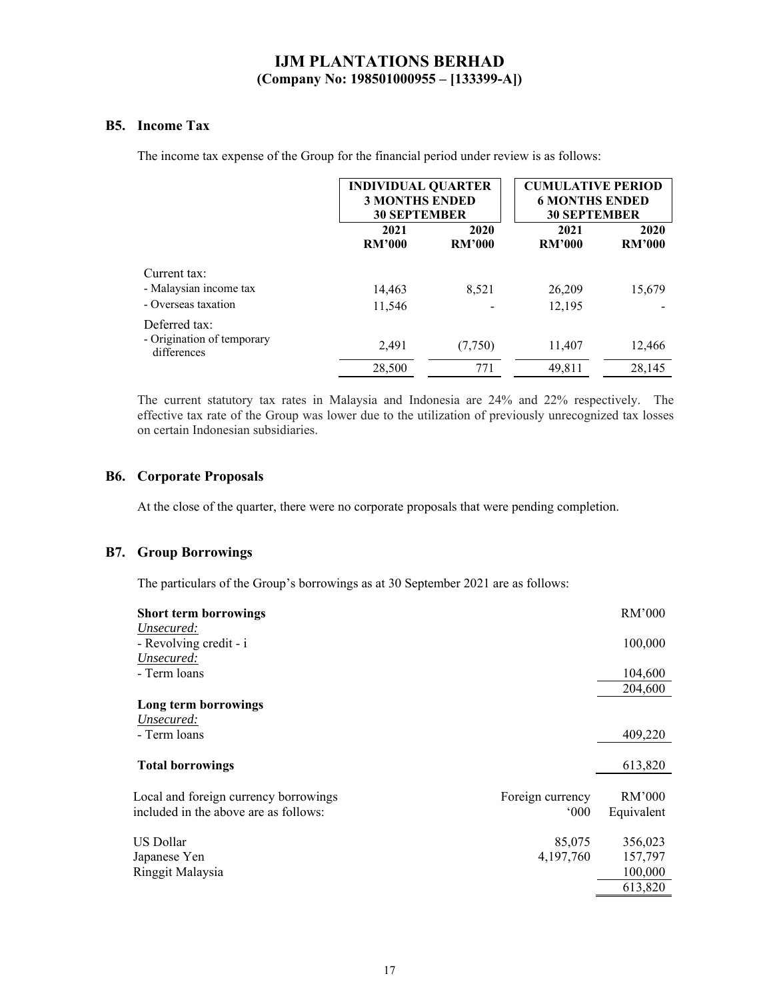### **B5. Income Tax**

The income tax expense of the Group for the financial period under review is as follows:

|                                                            |                       | <b>INDIVIDUAL QUARTER</b><br><b>3 MONTHS ENDED</b><br><b>30 SEPTEMBER</b> |                       | <b>CUMULATIVE PERIOD</b><br><b>6 MONTHS ENDED</b><br><b>30 SEPTEMBER</b> |
|------------------------------------------------------------|-----------------------|---------------------------------------------------------------------------|-----------------------|--------------------------------------------------------------------------|
|                                                            | 2021<br><b>RM'000</b> | 2020<br><b>RM'000</b>                                                     | 2021<br><b>RM'000</b> | 2020<br><b>RM'000</b>                                                    |
| Current tax:                                               |                       |                                                                           |                       |                                                                          |
| - Malaysian income tax                                     | 14,463                | 8.521                                                                     | 26,209                | 15,679                                                                   |
| - Overseas taxation                                        | 11,546                |                                                                           | 12,195                |                                                                          |
| Deferred tax:<br>- Origination of temporary<br>differences | 2,491                 | (7,750)                                                                   | 11,407                | 12,466                                                                   |
|                                                            | 28,500                | 771                                                                       | 49,811                | 28,145                                                                   |

The current statutory tax rates in Malaysia and Indonesia are 24% and 22% respectively. The effective tax rate of the Group was lower due to the utilization of previously unrecognized tax losses on certain Indonesian subsidiaries.

### **B6. Corporate Proposals**

At the close of the quarter, there were no corporate proposals that were pending completion.

### **B7. Group Borrowings**

The particulars of the Group's borrowings as at 30 September 2021 are as follows:

| <b>Short term borrowings</b>          |                  | RM'000     |
|---------------------------------------|------------------|------------|
| Unsecured:<br>- Revolving credit - i  |                  | 100,000    |
| Unsecured:<br>- Term loans            |                  | 104,600    |
|                                       |                  | 204,600    |
| Long term borrowings                  |                  |            |
| Unsecured:                            |                  |            |
| - Term loans                          |                  | 409,220    |
| <b>Total borrowings</b>               |                  | 613,820    |
| Local and foreign currency borrowings | Foreign currency | RM'000     |
| included in the above are as follows: | $000^{\circ}$    | Equivalent |
|                                       |                  |            |
| US Dollar                             | 85,075           | 356,023    |
| Japanese Yen                          | 4,197,760        | 157,797    |
| Ringgit Malaysia                      |                  | 100,000    |
|                                       |                  | 613,820    |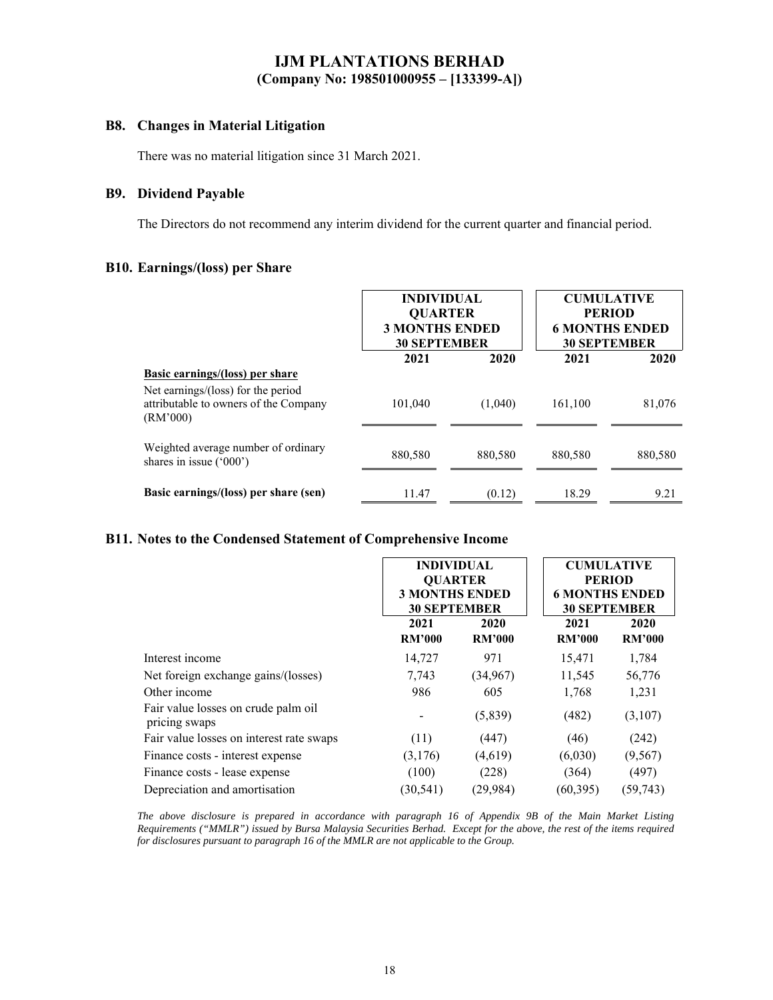### **B8. Changes in Material Litigation**

There was no material litigation since 31 March 2021.

### **B9. Dividend Payable**

The Directors do not recommend any interim dividend for the current quarter and financial period.

### **B10. Earnings/(loss) per Share**

|                                                                                         | <b>INDIVIDUAL</b><br><b>QUARTER</b><br><b>3 MONTHS ENDED</b><br><b>30 SEPTEMBER</b> |         |         | <b>CUMULATIVE</b><br><b>PERIOD</b><br><b>6 MONTHS ENDED</b><br><b>30 SEPTEMBER</b> |
|-----------------------------------------------------------------------------------------|-------------------------------------------------------------------------------------|---------|---------|------------------------------------------------------------------------------------|
|                                                                                         | 2021                                                                                | 2020    | 2021    | 2020                                                                               |
| <b>Basic earnings/(loss)</b> per share                                                  |                                                                                     |         |         |                                                                                    |
| Net earnings/(loss) for the period<br>attributable to owners of the Company<br>(RM'000) | 101,040                                                                             | (1,040) | 161,100 | 81,076                                                                             |
| Weighted average number of ordinary<br>shares in issue $('000')$                        | 880,580                                                                             | 880,580 | 880,580 | 880,580                                                                            |
| Basic earnings/(loss) per share (sen)                                                   | 11.47                                                                               | (0.12)  | 18.29   | 9.21                                                                               |

### **B11. Notes to the Condensed Statement of Comprehensive Income**

|                                                      | <b>INDIVIDUAL</b><br><b>OUARTER</b><br><b>3 MONTHS ENDED</b><br><b>30 SEPTEMBER</b> |                       | <b>CUMULATIVE</b><br><b>PERIOD</b><br><b>6 MONTHS ENDED</b><br><b>30 SEPTEMBER</b> |                       |
|------------------------------------------------------|-------------------------------------------------------------------------------------|-----------------------|------------------------------------------------------------------------------------|-----------------------|
|                                                      | 2021<br><b>RM'000</b>                                                               | 2020<br><b>RM'000</b> | 2021<br><b>RM'000</b>                                                              | 2020<br><b>RM'000</b> |
| Interest income                                      | 14,727                                                                              | 971                   | 15,471                                                                             | 1,784                 |
| Net foreign exchange gains/(losses)                  | 7,743                                                                               | (34, 967)             | 11,545                                                                             | 56,776                |
| Other income                                         | 986                                                                                 | 605                   | 1,768                                                                              | 1,231                 |
| Fair value losses on crude palm oil<br>pricing swaps |                                                                                     | (5,839)               | (482)                                                                              | (3,107)               |
| Fair value losses on interest rate swaps             | (11)                                                                                | (447)                 | (46)                                                                               | (242)                 |
| Finance costs - interest expense                     | (3,176)                                                                             | (4,619)               | (6,030)                                                                            | (9, 567)              |
| Finance costs - lease expense                        | (100)                                                                               | (228)                 | (364)                                                                              | (497)                 |
| Depreciation and amortisation                        | (30, 541)                                                                           | (29, 984)             | (60, 395)                                                                          | (59, 743)             |

*The above disclosure is prepared in accordance with paragraph 16 of Appendix 9B of the Main Market Listing Requirements ("MMLR") issued by Bursa Malaysia Securities Berhad. Except for the above, the rest of the items required for disclosures pursuant to paragraph 16 of the MMLR are not applicable to the Group.*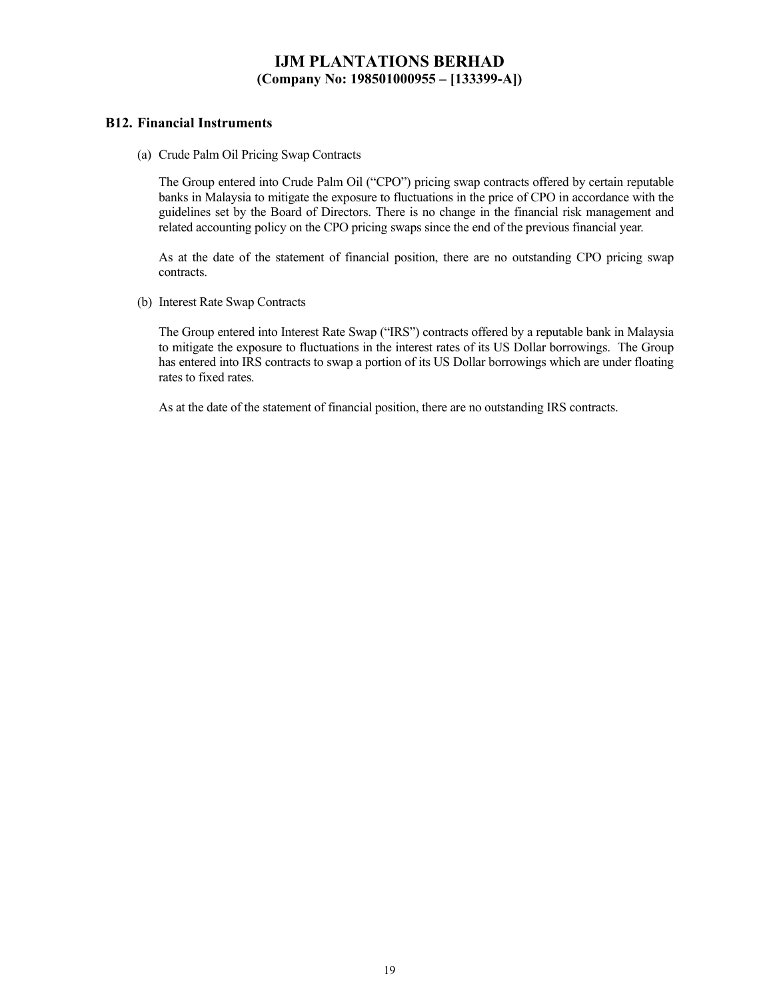### **B12. Financial Instruments**

(a) Crude Palm Oil Pricing Swap Contracts

The Group entered into Crude Palm Oil ("CPO") pricing swap contracts offered by certain reputable banks in Malaysia to mitigate the exposure to fluctuations in the price of CPO in accordance with the guidelines set by the Board of Directors. There is no change in the financial risk management and related accounting policy on the CPO pricing swaps since the end of the previous financial year.

As at the date of the statement of financial position, there are no outstanding CPO pricing swap contracts.

(b) Interest Rate Swap Contracts

The Group entered into Interest Rate Swap ("IRS") contracts offered by a reputable bank in Malaysia to mitigate the exposure to fluctuations in the interest rates of its US Dollar borrowings. The Group has entered into IRS contracts to swap a portion of its US Dollar borrowings which are under floating rates to fixed rates.

As at the date of the statement of financial position, there are no outstanding IRS contracts.